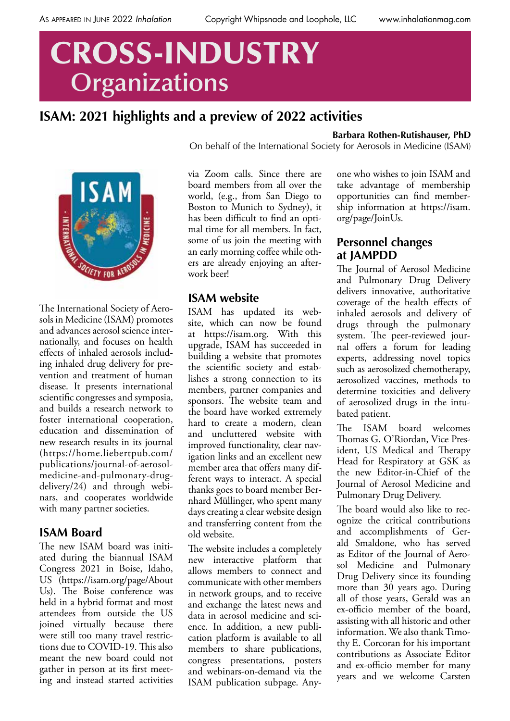# CROSS-INDUSTRY **Organizations**

## **ISAM: 2021 highlights and a preview of 2022 activities**

#### **Barbara Rothen-Rutishauser, PhD**

On behalf of the International Society for Aerosols in Medicine (ISAM)



The International Society of Aerosols in Medicine (ISAM) promotes and advances aerosol science internationally, and focuses on health effects of inhaled aerosols including inhaled drug delivery for prevention and treatment of human disease. It presents international scientific congresses and symposia, and builds a research network to foster international cooperation, education and dissemination of new research results in its journal (https://home.liebertpub.com/ publications/journal-of-aerosolmedicine-and-pulmonary-drugdelivery/24) and through webinars, and cooperates worldwide with many partner societies.

#### **ISAM Board**

The new ISAM board was initiated during the biannual ISAM Congress 2021 in Boise, Idaho, US (https://isam.org/page/About Us). The Boise conference was held in a hybrid format and most attendees from outside the US joined virtually because there were still too many travel restrictions due to COVID-19. This also meant the new board could not gather in person at its first meeting and instead started activities

via Zoom calls. Since there are board members from all over the world, (e.g., from San Diego to Boston to Munich to Sydney), it has been difficult to find an optimal time for all members. In fact, some of us join the meeting with an early morning coffee while others are already enjoying an afterwork beer!

#### **ISAM website**

ISAM has updated its website, which can now be found at https://isam.org. With this upgrade, ISAM has succeeded in building a website that promotes the scientific society and establishes a strong connection to its members, partner companies and sponsors. The website team and the board have worked extremely hard to create a modern, clean and uncluttered website with improved functionality, clear navigation links and an excellent new member area that offers many different ways to interact. A special thanks goes to board member Bernhard Müllinger, who spent many days creating a clear website design and transferring content from the old website.

The website includes a completely new interactive platform that allows members to connect and communicate with other members in network groups, and to receive and exchange the latest news and data in aerosol medicine and science. In addition, a new publication platform is available to all members to share publications, congress presentations, posters and webinars-on-demand via the ISAM publication subpage. Anyone who wishes to join ISAM and take advantage of membership opportunities can find membership information at https://isam. org/page/JoinUs.

### **Personnel changes at JAMPDD**

The Journal of Aerosol Medicine and Pulmonary Drug Delivery delivers innovative, authoritative coverage of the health effects of inhaled aerosols and delivery of drugs through the pulmonary system. The peer-reviewed journal offers a forum for leading experts, addressing novel topics such as aerosolized chemotherapy, aerosolized vaccines, methods to determine toxicities and delivery of aerosolized drugs in the intubated patient.

The ISAM board welcomes Thomas G. O'Riordan, Vice President, US Medical and Therapy Head for Respiratory at GSK as the new Editor-in-Chief of the Journal of Aerosol Medicine and Pulmonary Drug Delivery.

The board would also like to recognize the critical contributions and accomplishments of Gerald Smaldone, who has served as Editor of the Journal of Aerosol Medicine and Pulmonary Drug Delivery since its founding more than 30 years ago. During all of those years, Gerald was an ex-officio member of the board, assisting with all historic and other information. We also thank Timothy E. Corcoran for his important contributions as Associate Editor and ex-officio member for many years and we welcome Carsten